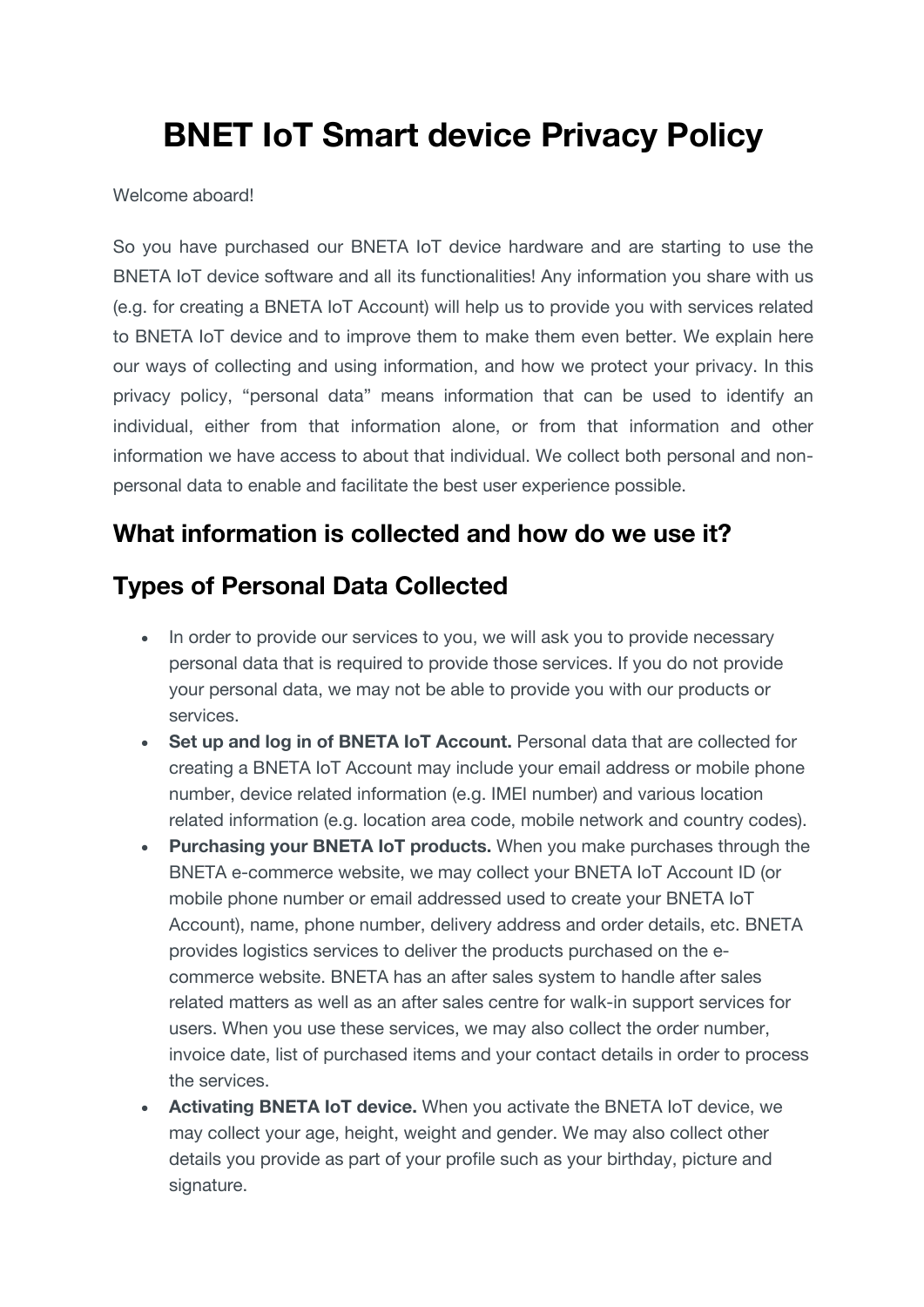# **BNET IoT Smart device Privacy Policy**

#### Welcome aboard!

So you have purchased our BNETA IoT device hardware and are starting to use the BNETA IoT device software and all its functionalities! Any information you share with us (e.g. for creating a BNETA IoT Account) will help us to provide you with services related to BNETA IoT device and to improve them to make them even better. We explain here our ways of collecting and using information, and how we protect your privacy. In this privacy policy, "personal data" means information that can be used to identify an individual, either from that information alone, or from that information and other information we have access to about that individual. We collect both personal and nonpersonal data to enable and facilitate the best user experience possible.

#### **What information is collected and how do we use it?**

#### **Types of Personal Data Collected**

- In order to provide our services to you, we will ask you to provide necessary personal data that is required to provide those services. If you do not provide your personal data, we may not be able to provide you with our products or services.
- **Set up and log in of BNETA IoT Account.** Personal data that are collected for creating a BNETA IoT Account may include your email address or mobile phone number, device related information (e.g. IMEI number) and various location related information (e.g. location area code, mobile network and country codes).
- **Purchasing your BNETA IoT products.** When you make purchases through the BNETA e-commerce website, we may collect your BNETA IoT Account ID (or mobile phone number or email addressed used to create your BNETA IoT Account), name, phone number, delivery address and order details, etc. BNETA provides logistics services to deliver the products purchased on the ecommerce website. BNETA has an after sales system to handle after sales related matters as well as an after sales centre for walk-in support services for users. When you use these services, we may also collect the order number, invoice date, list of purchased items and your contact details in order to process the services.
- **Activating BNETA IoT device.** When you activate the BNETA IoT device, we may collect your age, height, weight and gender. We may also collect other details you provide as part of your profile such as your birthday, picture and signature.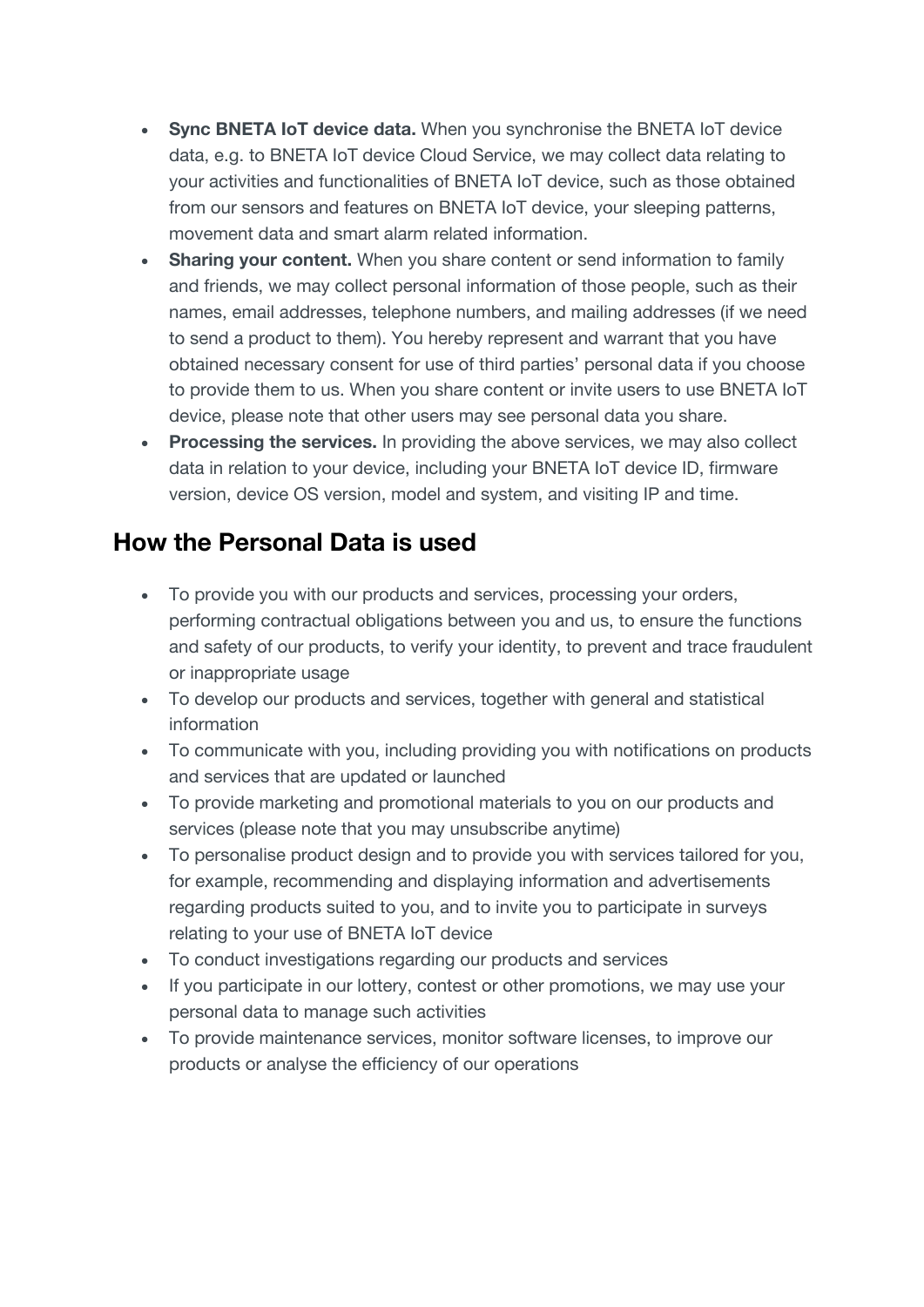- **Sync BNETA IoT device data.** When you synchronise the BNETA IoT device data, e.g. to BNETA IoT device Cloud Service, we may collect data relating to your activities and functionalities of BNETA IoT device, such as those obtained from our sensors and features on BNETA IoT device, your sleeping patterns, movement data and smart alarm related information.
- **Sharing your content.** When you share content or send information to family and friends, we may collect personal information of those people, such as their names, email addresses, telephone numbers, and mailing addresses (if we need to send a product to them). You hereby represent and warrant that you have obtained necessary consent for use of third parties' personal data if you choose to provide them to us. When you share content or invite users to use BNETA IoT device, please note that other users may see personal data you share.
- **Processing the services.** In providing the above services, we may also collect data in relation to your device, including your BNETA IoT device ID, firmware version, device OS version, model and system, and visiting IP and time.

### **How the Personal Data is used**

- To provide you with our products and services, processing your orders, performing contractual obligations between you and us, to ensure the functions and safety of our products, to verify your identity, to prevent and trace fraudulent or inappropriate usage
- To develop our products and services, together with general and statistical information
- To communicate with you, including providing you with notifications on products and services that are updated or launched
- To provide marketing and promotional materials to you on our products and services (please note that you may unsubscribe anytime)
- To personalise product design and to provide you with services tailored for you, for example, recommending and displaying information and advertisements regarding products suited to you, and to invite you to participate in surveys relating to your use of BNETA IoT device
- To conduct investigations regarding our products and services
- If you participate in our lottery, contest or other promotions, we may use your personal data to manage such activities
- To provide maintenance services, monitor software licenses, to improve our products or analyse the efficiency of our operations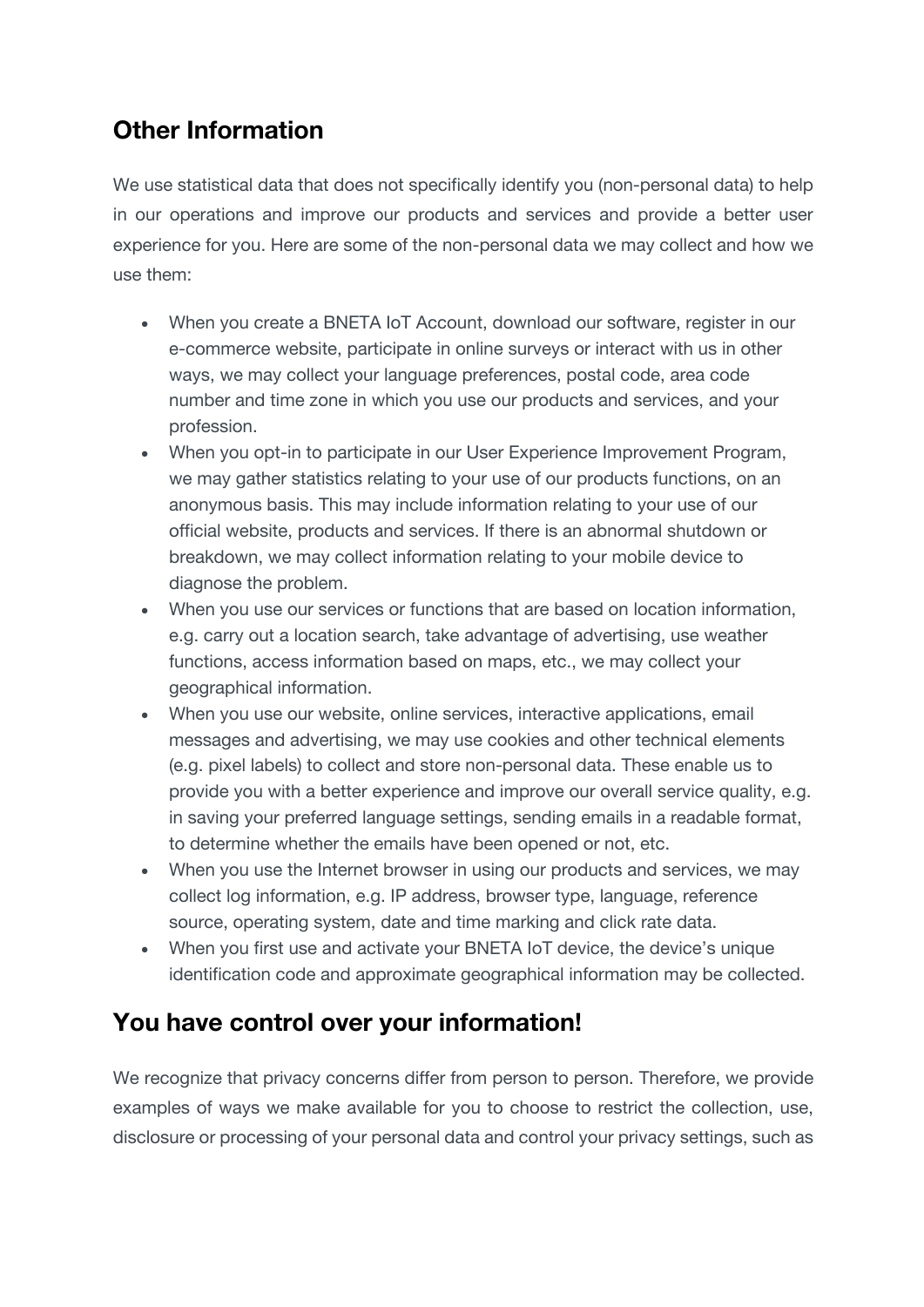## **Other Information**

We use statistical data that does not specifically identify you (non-personal data) to help in our operations and improve our products and services and provide a better user experience for you. Here are some of the non-personal data we may collect and how we use them:

- When you create a BNETA IoT Account, download our software, register in our e-commerce website, participate in online surveys or interact with us in other ways, we may collect your language preferences, postal code, area code number and time zone in which you use our products and services, and your profession.
- When you opt-in to participate in our User Experience Improvement Program, we may gather statistics relating to your use of our products functions, on an anonymous basis. This may include information relating to your use of our official website, products and services. If there is an abnormal shutdown or breakdown, we may collect information relating to your mobile device to diagnose the problem.
- When you use our services or functions that are based on location information, e.g. carry out a location search, take advantage of advertising, use weather functions, access information based on maps, etc., we may collect your geographical information.
- When you use our website, online services, interactive applications, email messages and advertising, we may use cookies and other technical elements (e.g. pixel labels) to collect and store non-personal data. These enable us to provide you with a better experience and improve our overall service quality, e.g. in saving your preferred language settings, sending emails in a readable format, to determine whether the emails have been opened or not, etc.
- When you use the Internet browser in using our products and services, we may collect log information, e.g. IP address, browser type, language, reference source, operating system, date and time marking and click rate data.
- When you first use and activate your BNETA IoT device, the device's unique identification code and approximate geographical information may be collected.

### **You have control over your information!**

We recognize that privacy concerns differ from person to person. Therefore, we provide examples of ways we make available for you to choose to restrict the collection, use, disclosure or processing of your personal data and control your privacy settings, such as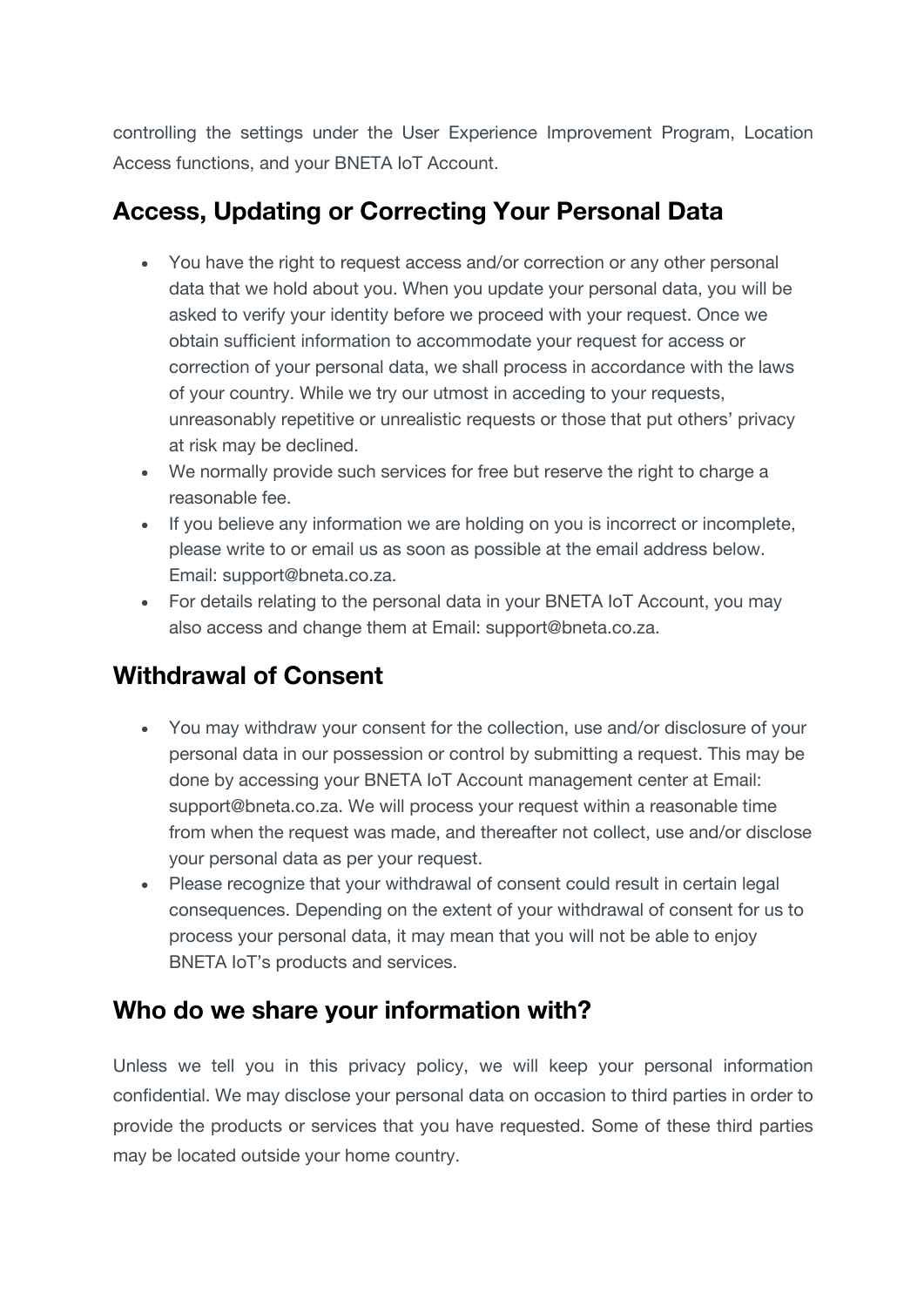controlling the settings under the User Experience Improvement Program, Location Access functions, and your BNETA IoT Account.

### **Access, Updating or Correcting Your Personal Data**

- You have the right to request access and/or correction or any other personal data that we hold about you. When you update your personal data, you will be asked to verify your identity before we proceed with your request. Once we obtain sufficient information to accommodate your request for access or correction of your personal data, we shall process in accordance with the laws of your country. While we try our utmost in acceding to your requests, unreasonably repetitive or unrealistic requests or those that put others' privacy at risk may be declined.
- We normally provide such services for free but reserve the right to charge a reasonable fee.
- If you believe any information we are holding on you is incorrect or incomplete, please write to or email us as soon as possible at the email address below. Email: support@bneta.co.za.
- For details relating to the personal data in your BNETA IoT Account, you may also access and change them at Email: support@bneta.co.za.

### **Withdrawal of Consent**

- You may withdraw your consent for the collection, use and/or disclosure of your personal data in our possession or control by submitting a request. This may be done by accessing your BNETA IoT Account management center at Email: support@bneta.co.za. We will process your request within a reasonable time from when the request was made, and thereafter not collect, use and/or disclose your personal data as per your request.
- Please recognize that your withdrawal of consent could result in certain legal consequences. Depending on the extent of your withdrawal of consent for us to process your personal data, it may mean that you will not be able to enjoy BNETA IoT's products and services.

#### **Who do we share your information with?**

Unless we tell you in this privacy policy, we will keep your personal information confidential. We may disclose your personal data on occasion to third parties in order to provide the products or services that you have requested. Some of these third parties may be located outside your home country.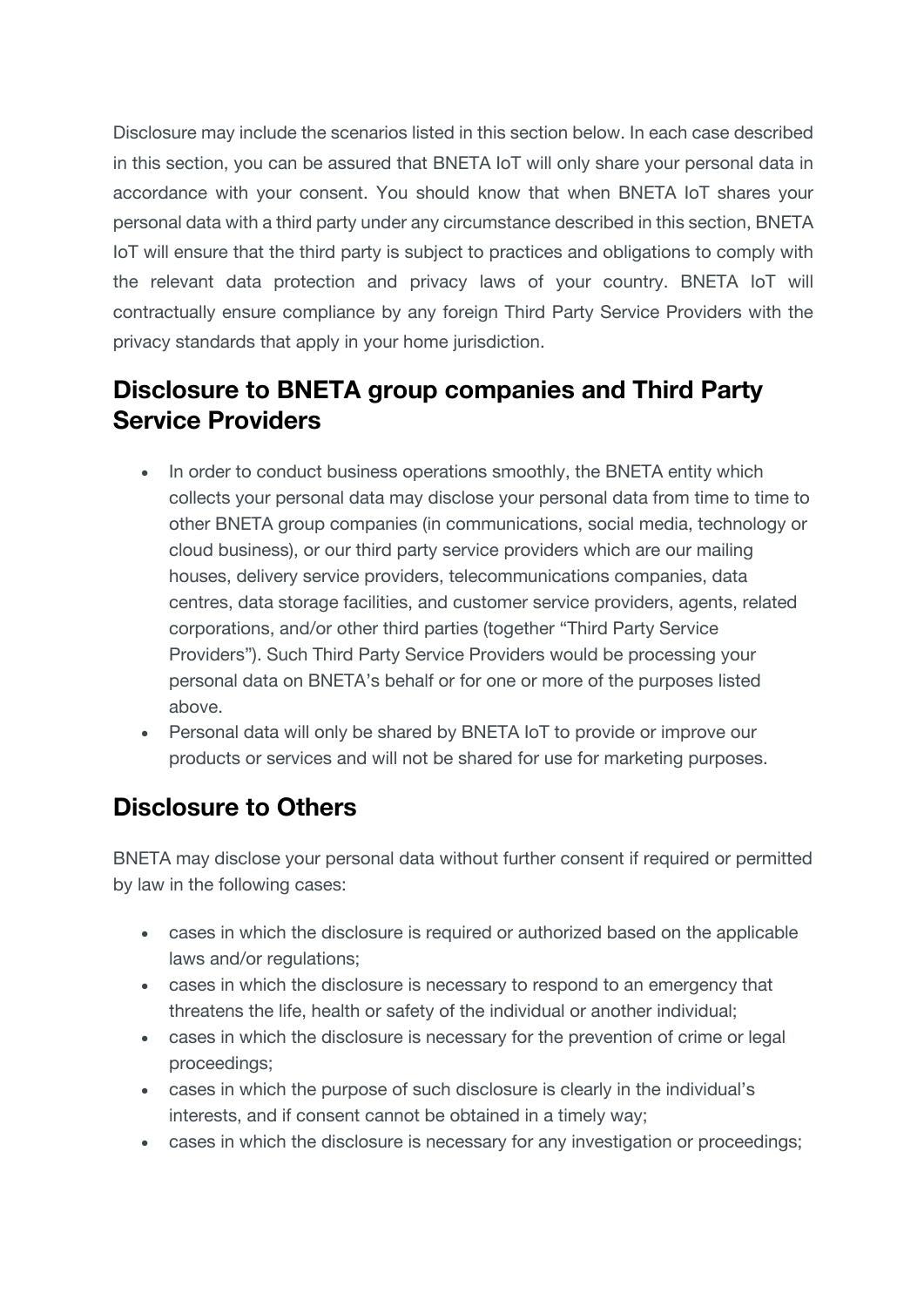Disclosure may include the scenarios listed in this section below. In each case described in this section, you can be assured that BNETA IoT will only share your personal data in accordance with your consent. You should know that when BNETA IoT shares your personal data with a third party under any circumstance described in this section, BNETA IoT will ensure that the third party is subject to practices and obligations to comply with the relevant data protection and privacy laws of your country. BNETA IoT will contractually ensure compliance by any foreign Third Party Service Providers with the privacy standards that apply in your home jurisdiction.

### **Disclosure to BNETA group companies and Third Party Service Providers**

- In order to conduct business operations smoothly, the BNETA entity which collects your personal data may disclose your personal data from time to time to other BNETA group companies (in communications, social media, technology or cloud business), or our third party service providers which are our mailing houses, delivery service providers, telecommunications companies, data centres, data storage facilities, and customer service providers, agents, related corporations, and/or other third parties (together "Third Party Service Providers"). Such Third Party Service Providers would be processing your personal data on BNETA's behalf or for one or more of the purposes listed above.
- Personal data will only be shared by BNETA IoT to provide or improve our products or services and will not be shared for use for marketing purposes.

#### **Disclosure to Others**

BNETA may disclose your personal data without further consent if required or permitted by law in the following cases:

- cases in which the disclosure is required or authorized based on the applicable laws and/or regulations;
- cases in which the disclosure is necessary to respond to an emergency that threatens the life, health or safety of the individual or another individual;
- cases in which the disclosure is necessary for the prevention of crime or legal proceedings;
- cases in which the purpose of such disclosure is clearly in the individual's interests, and if consent cannot be obtained in a timely way;
- cases in which the disclosure is necessary for any investigation or proceedings;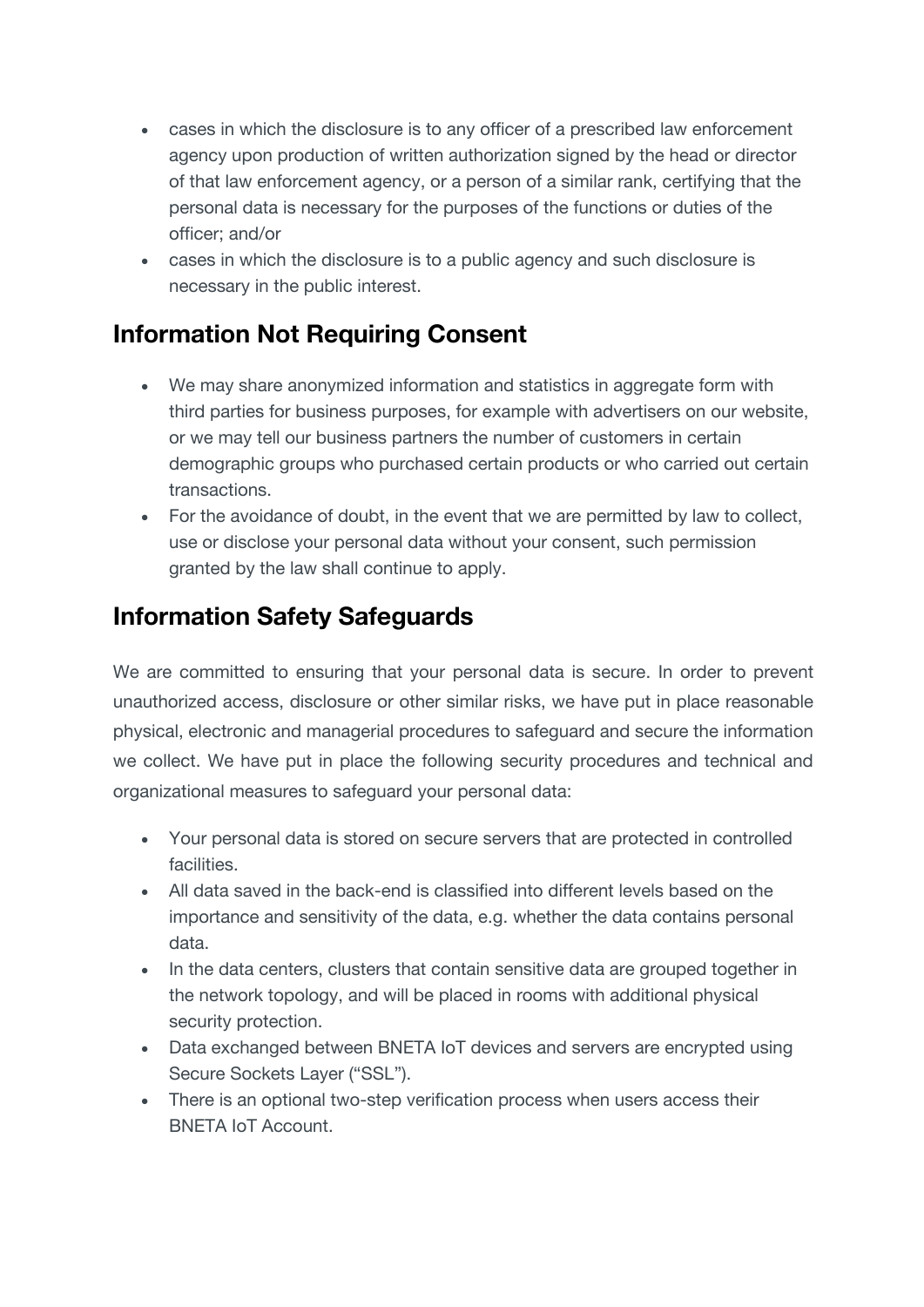- cases in which the disclosure is to any officer of a prescribed law enforcement agency upon production of written authorization signed by the head or director of that law enforcement agency, or a person of a similar rank, certifying that the personal data is necessary for the purposes of the functions or duties of the officer; and/or
- cases in which the disclosure is to a public agency and such disclosure is necessary in the public interest.

### **Information Not Requiring Consent**

- We may share anonymized information and statistics in aggregate form with third parties for business purposes, for example with advertisers on our website, or we may tell our business partners the number of customers in certain demographic groups who purchased certain products or who carried out certain transactions.
- For the avoidance of doubt, in the event that we are permitted by law to collect, use or disclose your personal data without your consent, such permission granted by the law shall continue to apply.

### **Information Safety Safeguards**

We are committed to ensuring that your personal data is secure. In order to prevent unauthorized access, disclosure or other similar risks, we have put in place reasonable physical, electronic and managerial procedures to safeguard and secure the information we collect. We have put in place the following security procedures and technical and organizational measures to safeguard your personal data:

- Your personal data is stored on secure servers that are protected in controlled facilities.
- All data saved in the back-end is classified into different levels based on the importance and sensitivity of the data, e.g. whether the data contains personal data.
- In the data centers, clusters that contain sensitive data are grouped together in the network topology, and will be placed in rooms with additional physical security protection.
- Data exchanged between BNETA IoT devices and servers are encrypted using Secure Sockets Layer ("SSL").
- There is an optional two-step verification process when users access their BNETA IoT Account.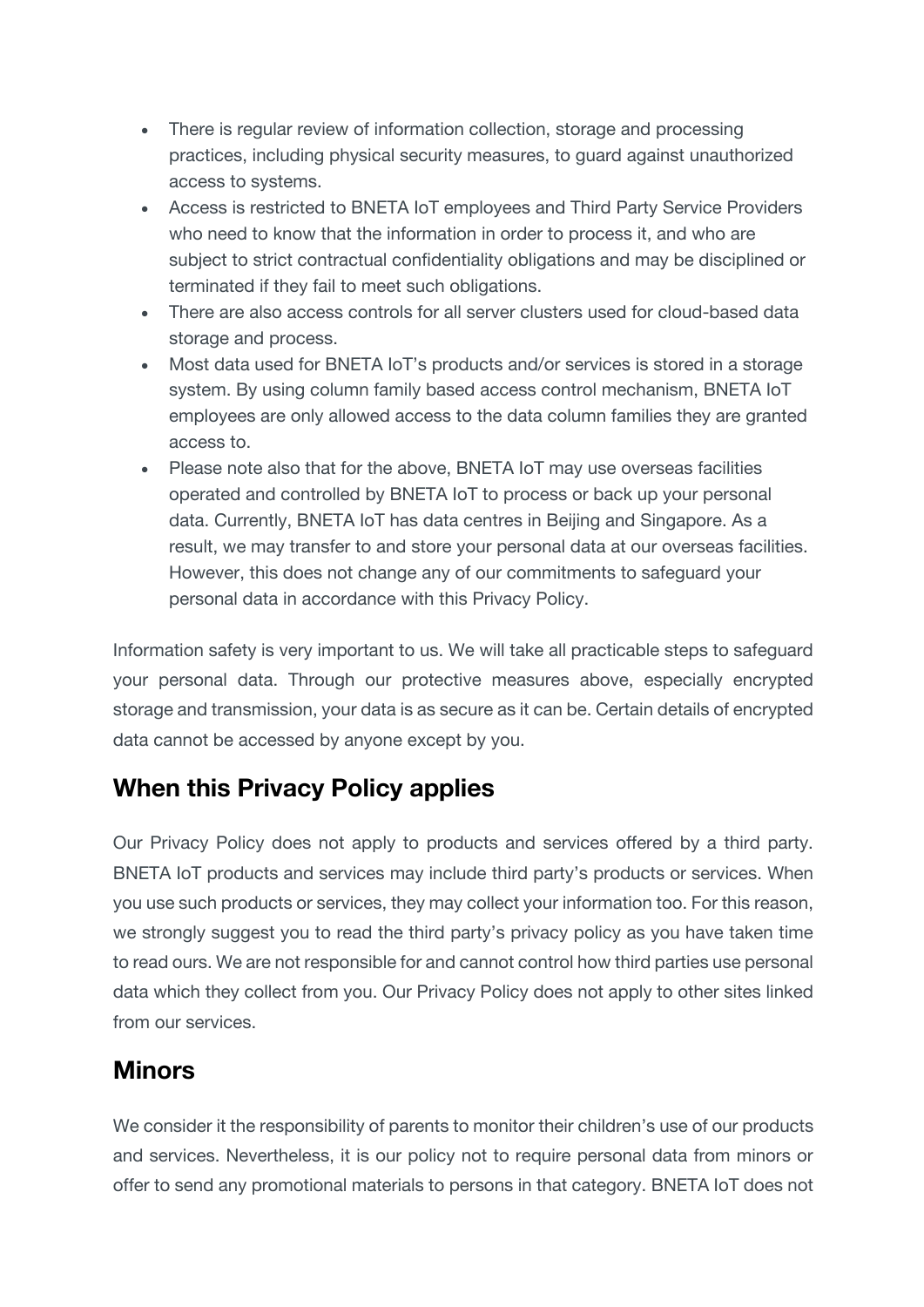- There is regular review of information collection, storage and processing practices, including physical security measures, to guard against unauthorized access to systems.
- Access is restricted to BNETA IoT employees and Third Party Service Providers who need to know that the information in order to process it, and who are subject to strict contractual confidentiality obligations and may be disciplined or terminated if they fail to meet such obligations.
- There are also access controls for all server clusters used for cloud-based data storage and process.
- Most data used for BNETA IoT's products and/or services is stored in a storage system. By using column family based access control mechanism, BNETA IoT employees are only allowed access to the data column families they are granted access to.
- Please note also that for the above, BNETA IoT may use overseas facilities operated and controlled by BNETA IoT to process or back up your personal data. Currently, BNETA IoT has data centres in Beijing and Singapore. As a result, we may transfer to and store your personal data at our overseas facilities. However, this does not change any of our commitments to safeguard your personal data in accordance with this Privacy Policy.

Information safety is very important to us. We will take all practicable steps to safeguard your personal data. Through our protective measures above, especially encrypted storage and transmission, your data is as secure as it can be. Certain details of encrypted data cannot be accessed by anyone except by you.

### **When this Privacy Policy applies**

Our Privacy Policy does not apply to products and services offered by a third party. BNETA IoT products and services may include third party's products or services. When you use such products or services, they may collect your information too. For this reason, we strongly suggest you to read the third party's privacy policy as you have taken time to read ours. We are not responsible for and cannot control how third parties use personal data which they collect from you. Our Privacy Policy does not apply to other sites linked from our services.

### **Minors**

We consider it the responsibility of parents to monitor their children's use of our products and services. Nevertheless, it is our policy not to require personal data from minors or offer to send any promotional materials to persons in that category. BNETA IoT does not